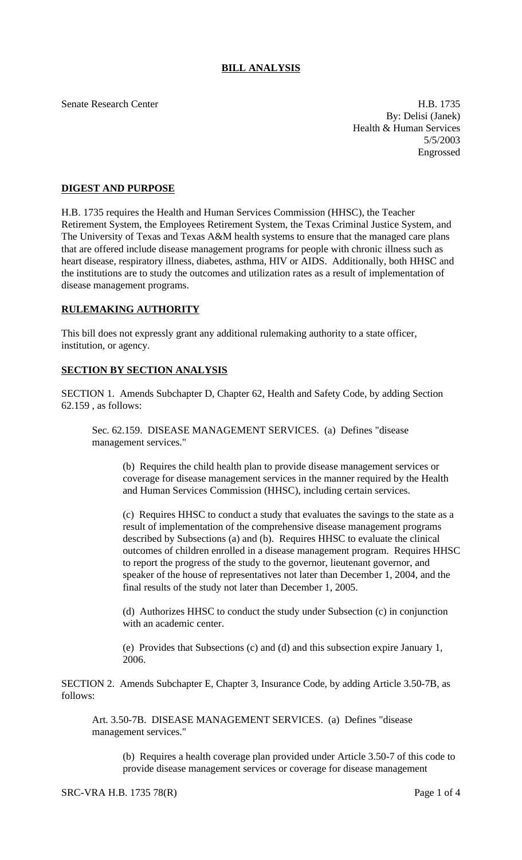# **BILL ANALYSIS**

Senate Research Center **H.B. 1735** By: Delisi (Janek) Health & Human Services 5/5/2003 Engrossed

## **DIGEST AND PURPOSE**

H.B. 1735 requires the Health and Human Services Commission (HHSC), the Teacher Retirement System, the Employees Retirement System, the Texas Criminal Justice System, and The University of Texas and Texas A&M health systems to ensure that the managed care plans that are offered include disease management programs for people with chronic illness such as heart disease, respiratory illness, diabetes, asthma, HIV or AIDS. Additionally, both HHSC and the institutions are to study the outcomes and utilization rates as a result of implementation of disease management programs.

### **RULEMAKING AUTHORITY**

This bill does not expressly grant any additional rulemaking authority to a state officer, institution, or agency.

### **SECTION BY SECTION ANALYSIS**

SECTION 1. Amends Subchapter D, Chapter 62, Health and Safety Code, by adding Section 62.159 , as follows:

Sec. 62.159. DISEASE MANAGEMENT SERVICES. (a) Defines "disease management services."

(b) Requires the child health plan to provide disease management services or coverage for disease management services in the manner required by the Health and Human Services Commission (HHSC), including certain services.

(c) Requires HHSC to conduct a study that evaluates the savings to the state as a result of implementation of the comprehensive disease management programs described by Subsections (a) and (b). Requires HHSC to evaluate the clinical outcomes of children enrolled in a disease management program. Requires HHSC to report the progress of the study to the governor, lieutenant governor, and speaker of the house of representatives not later than December 1, 2004, and the final results of the study not later than December 1, 2005.

(d) Authorizes HHSC to conduct the study under Subsection (c) in conjunction with an academic center.

(e) Provides that Subsections (c) and (d) and this subsection expire January 1, 2006.

SECTION 2. Amends Subchapter E, Chapter 3, Insurance Code, by adding Article 3.50-7B, as follows:

Art. 3.50-7B. DISEASE MANAGEMENT SERVICES. (a) Defines "disease management services."

(b) Requires a health coverage plan provided under Article 3.50-7 of this code to provide disease management services or coverage for disease management

SRC-VRA H.B. 1735 78(R) Page 1 of 4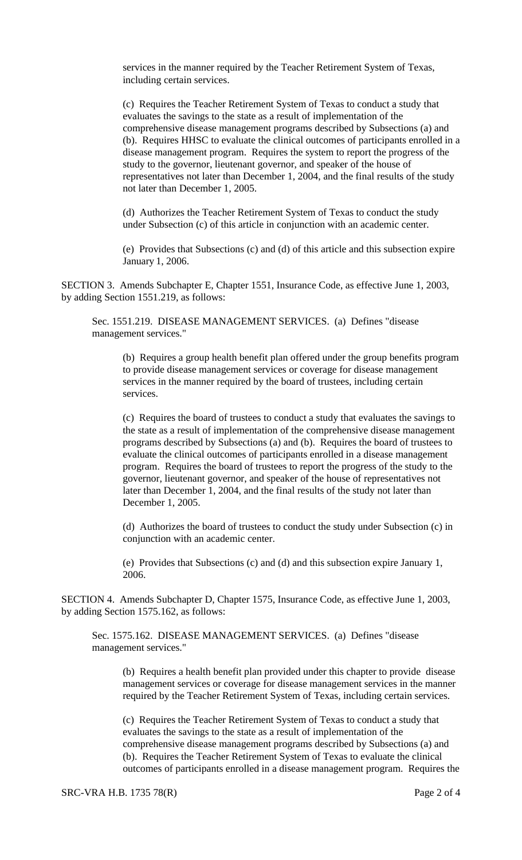services in the manner required by the Teacher Retirement System of Texas, including certain services.

(c) Requires the Teacher Retirement System of Texas to conduct a study that evaluates the savings to the state as a result of implementation of the comprehensive disease management programs described by Subsections (a) and (b). Requires HHSC to evaluate the clinical outcomes of participants enrolled in a disease management program. Requires the system to report the progress of the study to the governor, lieutenant governor, and speaker of the house of representatives not later than December 1, 2004, and the final results of the study not later than December 1, 2005.

(d) Authorizes the Teacher Retirement System of Texas to conduct the study under Subsection (c) of this article in conjunction with an academic center.

(e) Provides that Subsections (c) and (d) of this article and this subsection expire January 1, 2006.

SECTION 3. Amends Subchapter E, Chapter 1551, Insurance Code, as effective June 1, 2003, by adding Section 1551.219, as follows:

Sec. 1551.219. DISEASE MANAGEMENT SERVICES. (a) Defines "disease management services."

(b) Requires a group health benefit plan offered under the group benefits program to provide disease management services or coverage for disease management services in the manner required by the board of trustees, including certain services.

(c) Requires the board of trustees to conduct a study that evaluates the savings to the state as a result of implementation of the comprehensive disease management programs described by Subsections (a) and (b). Requires the board of trustees to evaluate the clinical outcomes of participants enrolled in a disease management program. Requires the board of trustees to report the progress of the study to the governor, lieutenant governor, and speaker of the house of representatives not later than December 1, 2004, and the final results of the study not later than December 1, 2005.

(d) Authorizes the board of trustees to conduct the study under Subsection (c) in conjunction with an academic center.

(e) Provides that Subsections (c) and (d) and this subsection expire January 1, 2006.

SECTION 4. Amends Subchapter D, Chapter 1575, Insurance Code, as effective June 1, 2003, by adding Section 1575.162, as follows:

Sec. 1575.162. DISEASE MANAGEMENT SERVICES. (a) Defines "disease management services."

(b) Requires a health benefit plan provided under this chapter to provide disease management services or coverage for disease management services in the manner required by the Teacher Retirement System of Texas, including certain services.

(c) Requires the Teacher Retirement System of Texas to conduct a study that evaluates the savings to the state as a result of implementation of the comprehensive disease management programs described by Subsections (a) and (b). Requires the Teacher Retirement System of Texas to evaluate the clinical outcomes of participants enrolled in a disease management program. Requires the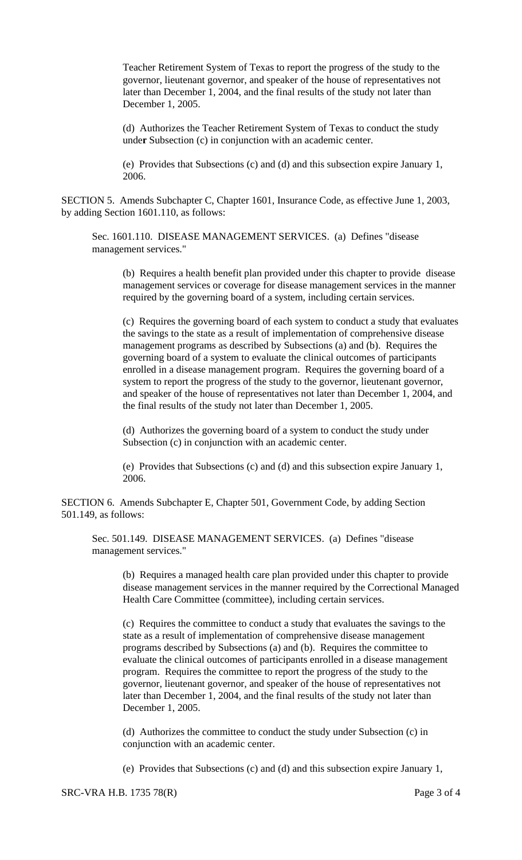Teacher Retirement System of Texas to report the progress of the study to the governor, lieutenant governor, and speaker of the house of representatives not later than December 1, 2004, and the final results of the study not later than December 1, 2005.

(d) Authorizes the Teacher Retirement System of Texas to conduct the study under Subsection (c) in conjunction with an academic center.

(e) Provides that Subsections (c) and (d) and this subsection expire January 1, 2006.

SECTION 5. Amends Subchapter C, Chapter 1601, Insurance Code, as effective June 1, 2003, by adding Section 1601.110, as follows:

Sec. 1601.110. DISEASE MANAGEMENT SERVICES. (a) Defines "disease management services."

(b) Requires a health benefit plan provided under this chapter to provide disease management services or coverage for disease management services in the manner required by the governing board of a system, including certain services.

(c) Requires the governing board of each system to conduct a study that evaluates the savings to the state as a result of implementation of comprehensive disease management programs as described by Subsections (a) and (b). Requires the governing board of a system to evaluate the clinical outcomes of participants enrolled in a disease management program. Requires the governing board of a system to report the progress of the study to the governor, lieutenant governor, and speaker of the house of representatives not later than December 1, 2004, and the final results of the study not later than December 1, 2005.

(d) Authorizes the governing board of a system to conduct the study under Subsection (c) in conjunction with an academic center.

(e) Provides that Subsections (c) and (d) and this subsection expire January 1, 2006.

SECTION 6. Amends Subchapter E, Chapter 501, Government Code, by adding Section 501.149, as follows:

Sec. 501.149. DISEASE MANAGEMENT SERVICES. (a) Defines "disease management services."

(b) Requires a managed health care plan provided under this chapter to provide disease management services in the manner required by the Correctional Managed Health Care Committee (committee), including certain services.

(c) Requires the committee to conduct a study that evaluates the savings to the state as a result of implementation of comprehensive disease management programs described by Subsections (a) and (b). Requires the committee to evaluate the clinical outcomes of participants enrolled in a disease management program. Requires the committee to report the progress of the study to the governor, lieutenant governor, and speaker of the house of representatives not later than December 1, 2004, and the final results of the study not later than December 1, 2005.

(d) Authorizes the committee to conduct the study under Subsection (c) in conjunction with an academic center.

(e) Provides that Subsections (c) and (d) and this subsection expire January 1,